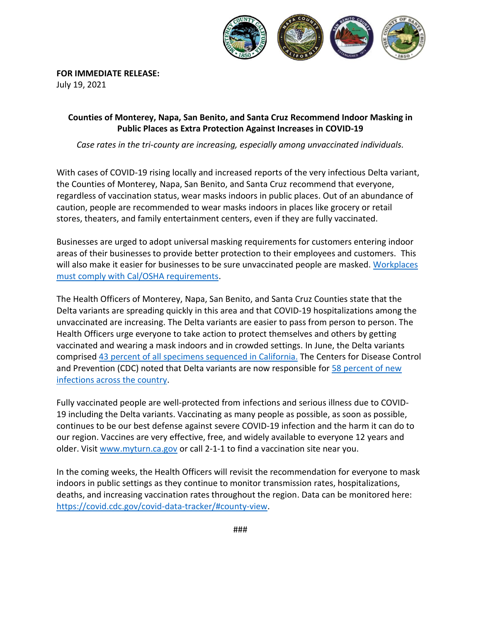

**FOR IMMEDIATE RELEASE:** 

July 19, 2021

## **Counties of Monterey, Napa, San Benito, and Santa Cruz Recommend Indoor Masking in Public Places as Extra Protection Against Increases in COVID-19**

*Case rates in the tri-county are increasing, especially among unvaccinated individuals.*

With cases of COVID-19 rising locally and increased reports of the very infectious Delta variant, the Counties of Monterey, Napa, San Benito, and Santa Cruz recommend that everyone, regardless of vaccination status, wear masks indoors in public places. Out of an abundance of caution, people are recommended to wear masks indoors in places like grocery or retail stores, theaters, and family entertainment centers, even if they are fully vaccinated.

Businesses are urged to adopt universal masking requirements for customers entering indoor areas of their businesses to provide better protection to their employees and customers. This will also make it easier for businesses to be sure unvaccinated people are masked. [Workplaces](https://www.dir.ca.gov/dosh/coronavirus/ETS.html)  [must comply with Cal/OSHA requirements.](https://www.dir.ca.gov/dosh/coronavirus/ETS.html)

The Health Officers of Monterey, Napa, San Benito, and Santa Cruz Counties state that the Delta variants are spreading quickly in this area and that COVID-19 hospitalizations among the unvaccinated are increasing. The Delta variants are easier to pass from person to person. The Health Officers urge everyone to take action to protect themselves and others by getting vaccinated and wearing a mask indoors and in crowded settings. In June, the Delta variants comprised [43 percent of all](https://www.cdph.ca.gov/Programs/CID/DCDC/Pages/COVID-19/COVID-Variants.aspx) specimens sequenced in California. The Centers for Disease Control and Prevention (CDC) noted that Delta variants are now responsible for [58 percent of new](https://covid.cdc.gov/covid-data-tracker/#variant-proportions)  [infections across the country.](https://covid.cdc.gov/covid-data-tracker/#variant-proportions)

Fully vaccinated people are well-protected from infections and serious illness due to COVID-19 including the Delta variants. Vaccinating as many people as possible, as soon as possible, continues to be our best defense against severe COVID-19 infection and the harm it can do to our region. Vaccines are very effective, free, and widely available to everyone 12 years and older. Visit [www.myturn.ca.gov](http://www.myturn.ca.gov/) or call 2-1-1 to find a vaccination site near you.

In the coming weeks, the Health Officers will revisit the recommendation for everyone to mask indoors in public settings as they continue to monitor transmission rates, hospitalizations, deaths, and increasing vaccination rates throughout the region. Data can be monitored here: [https://covid.cdc.gov/covid-data-tracker/#county-view.](https://covid.cdc.gov/covid-data-tracker/#county-view)